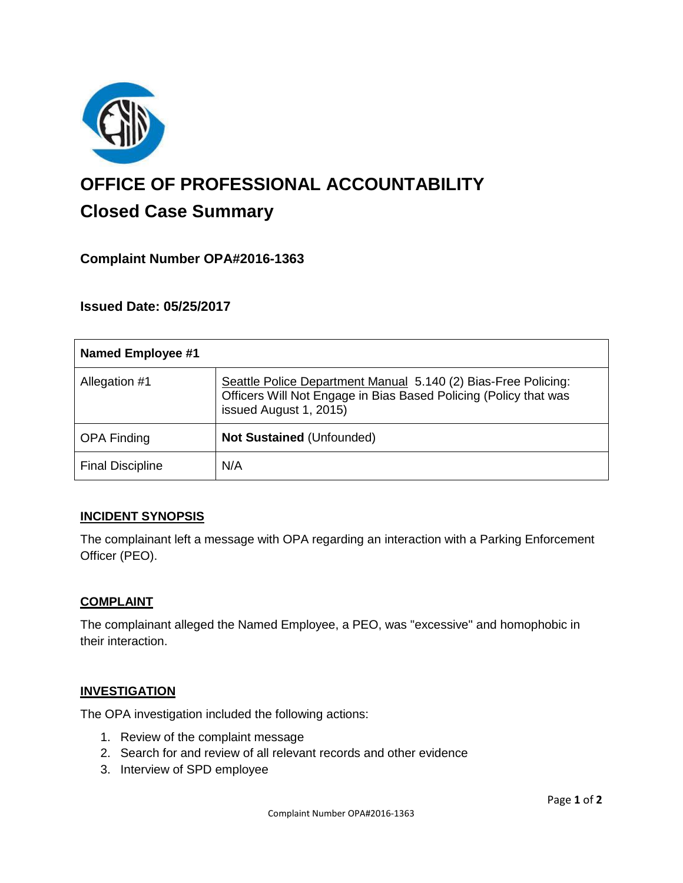

# **OFFICE OF PROFESSIONAL ACCOUNTABILITY Closed Case Summary**

# **Complaint Number OPA#2016-1363**

### **Issued Date: 05/25/2017**

| <b>Named Employee #1</b> |                                                                                                                                                              |
|--------------------------|--------------------------------------------------------------------------------------------------------------------------------------------------------------|
| Allegation #1            | Seattle Police Department Manual 5.140 (2) Bias-Free Policing:<br>Officers Will Not Engage in Bias Based Policing (Policy that was<br>issued August 1, 2015) |
| <b>OPA Finding</b>       | Not Sustained (Unfounded)                                                                                                                                    |
| <b>Final Discipline</b>  | N/A                                                                                                                                                          |

#### **INCIDENT SYNOPSIS**

The complainant left a message with OPA regarding an interaction with a Parking Enforcement Officer (PEO).

#### **COMPLAINT**

The complainant alleged the Named Employee, a PEO, was "excessive" and homophobic in their interaction.

#### **INVESTIGATION**

The OPA investigation included the following actions:

- 1. Review of the complaint message
- 2. Search for and review of all relevant records and other evidence
- 3. Interview of SPD employee